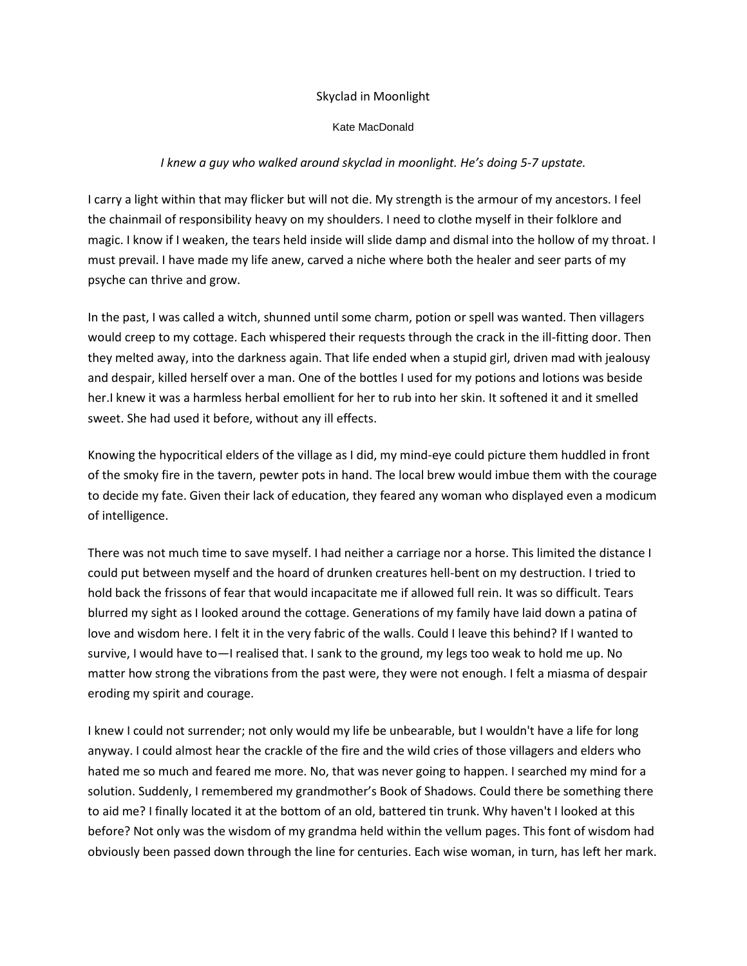#### Skyclad in Moonlight

#### Kate MacDonald

### *I knew a guy who walked around skyclad in moonlight. He's doing 5-7 upstate.*

I carry a light within that may flicker but will not die. My strength is the armour of my ancestors. I feel the chainmail of responsibility heavy on my shoulders. I need to clothe myself in their folklore and magic. I know if I weaken, the tears held inside will slide damp and dismal into the hollow of my throat. I must prevail. I have made my life anew, carved a niche where both the healer and seer parts of my psyche can thrive and grow.

In the past, I was called a witch, shunned until some charm, potion or spell was wanted. Then villagers would creep to my cottage. Each whispered their requests through the crack in the ill-fitting door. Then they melted away, into the darkness again. That life ended when a stupid girl, driven mad with jealousy and despair, killed herself over a man. One of the bottles I used for my potions and lotions was beside her.I knew it was a harmless herbal emollient for her to rub into her skin. It softened it and it smelled sweet. She had used it before, without any ill effects.

Knowing the hypocritical elders of the village as I did, my mind-eye could picture them huddled in front of the smoky fire in the tavern, pewter pots in hand. The local brew would imbue them with the courage to decide my fate. Given their lack of education, they feared any woman who displayed even a modicum of intelligence.

There was not much time to save myself. I had neither a carriage nor a horse. This limited the distance I could put between myself and the hoard of drunken creatures hell-bent on my destruction. I tried to hold back the frissons of fear that would incapacitate me if allowed full rein. It was so difficult. Tears blurred my sight as I looked around the cottage. Generations of my family have laid down a patina of love and wisdom here. I felt it in the very fabric of the walls. Could I leave this behind? If I wanted to survive, I would have to—I realised that. I sank to the ground, my legs too weak to hold me up. No matter how strong the vibrations from the past were, they were not enough. I felt a miasma of despair eroding my spirit and courage.

I knew I could not surrender; not only would my life be unbearable, but I wouldn't have a life for long anyway. I could almost hear the crackle of the fire and the wild cries of those villagers and elders who hated me so much and feared me more. No, that was never going to happen. I searched my mind for a solution. Suddenly, I remembered my grandmother's Book of Shadows. Could there be something there to aid me? I finally located it at the bottom of an old, battered tin trunk. Why haven't I looked at this before? Not only was the wisdom of my grandma held within the vellum pages. This font of wisdom had obviously been passed down through the line for centuries. Each wise woman, in turn, has left her mark.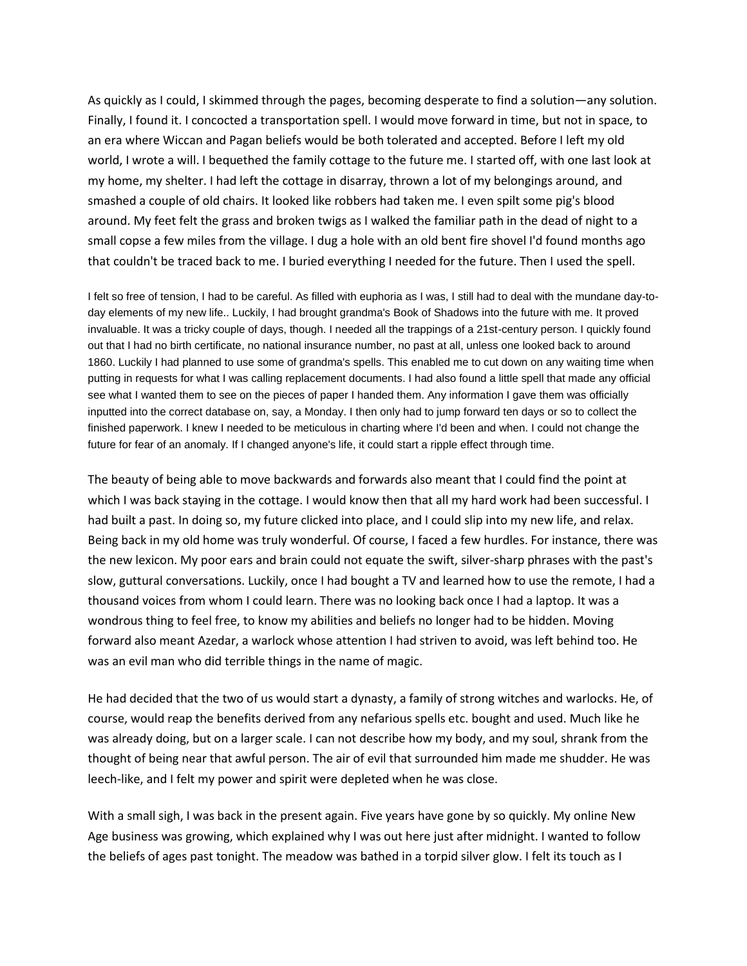As quickly as I could, I skimmed through the pages, becoming desperate to find a solution—any solution. Finally, I found it. I concocted a transportation spell. I would move forward in time, but not in space, to an era where Wiccan and Pagan beliefs would be both tolerated and accepted. Before I left my old world, I wrote a will. I bequethed the family cottage to the future me. I started off, with one last look at my home, my shelter. I had left the cottage in disarray, thrown a lot of my belongings around, and smashed a couple of old chairs. It looked like robbers had taken me. I even spilt some pig's blood around. My feet felt the grass and broken twigs as I walked the familiar path in the dead of night to a small copse a few miles from the village. I dug a hole with an old bent fire shovel I'd found months ago that couldn't be traced back to me. I buried everything I needed for the future. Then I used the spell.

I felt so free of tension, I had to be careful. As filled with euphoria as I was, I still had to deal with the mundane day-today elements of my new life.. Luckily, I had brought grandma's Book of Shadows into the future with me. It proved invaluable. It was a tricky couple of days, though. I needed all the trappings of a 21st-century person. I quickly found out that I had no birth certificate, no national insurance number, no past at all, unless one looked back to around 1860. Luckily I had planned to use some of grandma's spells. This enabled me to cut down on any waiting time when putting in requests for what I was calling replacement documents. I had also found a little spell that made any official see what I wanted them to see on the pieces of paper I handed them. Any information I gave them was officially inputted into the correct database on, say, a Monday. I then only had to jump forward ten days or so to collect the finished paperwork. I knew I needed to be meticulous in charting where I'd been and when. I could not change the future for fear of an anomaly. If I changed anyone's life, it could start a ripple effect through time.

The beauty of being able to move backwards and forwards also meant that I could find the point at which I was back staying in the cottage. I would know then that all my hard work had been successful. I had built a past. In doing so, my future clicked into place, and I could slip into my new life, and relax. Being back in my old home was truly wonderful. Of course, I faced a few hurdles. For instance, there was the new lexicon. My poor ears and brain could not equate the swift, silver-sharp phrases with the past's slow, guttural conversations. Luckily, once I had bought a TV and learned how to use the remote, I had a thousand voices from whom I could learn. There was no looking back once I had a laptop. It was a wondrous thing to feel free, to know my abilities and beliefs no longer had to be hidden. Moving forward also meant Azedar, a warlock whose attention I had striven to avoid, was left behind too. He was an evil man who did terrible things in the name of magic.

He had decided that the two of us would start a dynasty, a family of strong witches and warlocks. He, of course, would reap the benefits derived from any nefarious spells etc. bought and used. Much like he was already doing, but on a larger scale. I can not describe how my body, and my soul, shrank from the thought of being near that awful person. The air of evil that surrounded him made me shudder. He was leech-like, and I felt my power and spirit were depleted when he was close.

With a small sigh, I was back in the present again. Five years have gone by so quickly. My online New Age business was growing, which explained why I was out here just after midnight. I wanted to follow the beliefs of ages past tonight. The meadow was bathed in a torpid silver glow. I felt its touch as I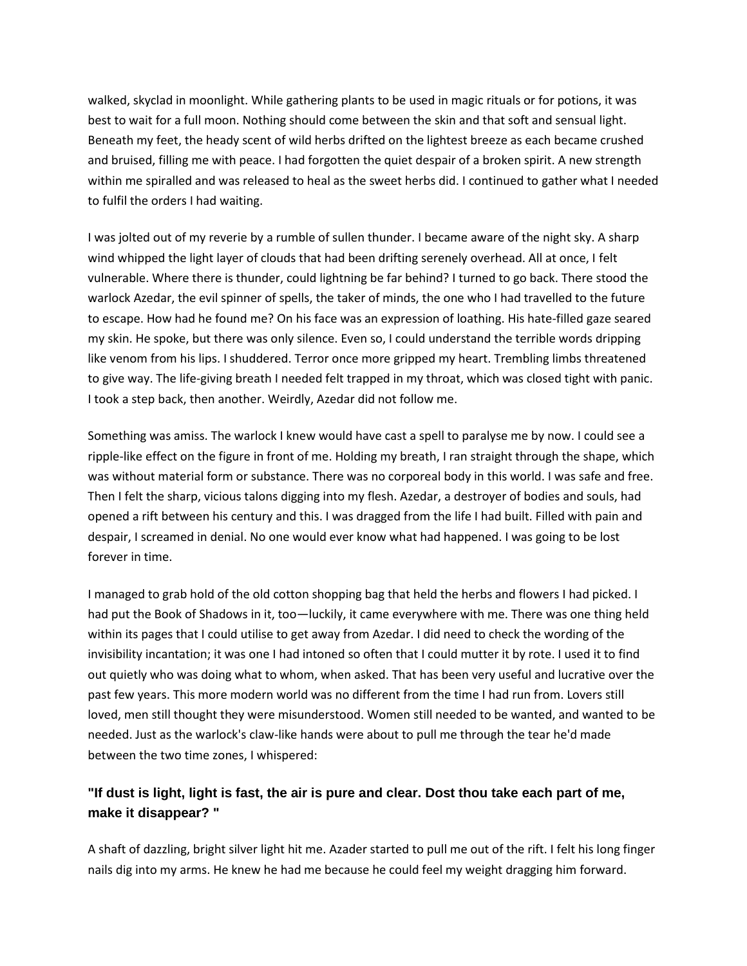walked, skyclad in moonlight. While gathering plants to be used in magic rituals or for potions, it was best to wait for a full moon. Nothing should come between the skin and that soft and sensual light. Beneath my feet, the heady scent of wild herbs drifted on the lightest breeze as each became crushed and bruised, filling me with peace. I had forgotten the quiet despair of a broken spirit. A new strength within me spiralled and was released to heal as the sweet herbs did. I continued to gather what I needed to fulfil the orders I had waiting.

I was jolted out of my reverie by a rumble of sullen thunder. I became aware of the night sky. A sharp wind whipped the light layer of clouds that had been drifting serenely overhead. All at once, I felt vulnerable. Where there is thunder, could lightning be far behind? I turned to go back. There stood the warlock Azedar, the evil spinner of spells, the taker of minds, the one who I had travelled to the future to escape. How had he found me? On his face was an expression of loathing. His hate-filled gaze seared my skin. He spoke, but there was only silence. Even so, I could understand the terrible words dripping like venom from his lips. I shuddered. Terror once more gripped my heart. Trembling limbs threatened to give way. The life-giving breath I needed felt trapped in my throat, which was closed tight with panic. I took a step back, then another. Weirdly, Azedar did not follow me.

Something was amiss. The warlock I knew would have cast a spell to paralyse me by now. I could see a ripple-like effect on the figure in front of me. Holding my breath, I ran straight through the shape, which was without material form or substance. There was no corporeal body in this world. I was safe and free. Then I felt the sharp, vicious talons digging into my flesh. Azedar, a destroyer of bodies and souls, had opened a rift between his century and this. I was dragged from the life I had built. Filled with pain and despair, I screamed in denial. No one would ever know what had happened. I was going to be lost forever in time.

I managed to grab hold of the old cotton shopping bag that held the herbs and flowers I had picked. I had put the Book of Shadows in it, too—luckily, it came everywhere with me. There was one thing held within its pages that I could utilise to get away from Azedar. I did need to check the wording of the invisibility incantation; it was one I had intoned so often that I could mutter it by rote. I used it to find out quietly who was doing what to whom, when asked. That has been very useful and lucrative over the past few years. This more modern world was no different from the time I had run from. Lovers still loved, men still thought they were misunderstood. Women still needed to be wanted, and wanted to be needed. Just as the warlock's claw-like hands were about to pull me through the tear he'd made between the two time zones, I whispered:

## **"If dust is light, light is fast, the air is pure and clear. Dost thou take each part of me, make it disappear? "**

A shaft of dazzling, bright silver light hit me. Azader started to pull me out of the rift. I felt his long finger nails dig into my arms. He knew he had me because he could feel my weight dragging him forward.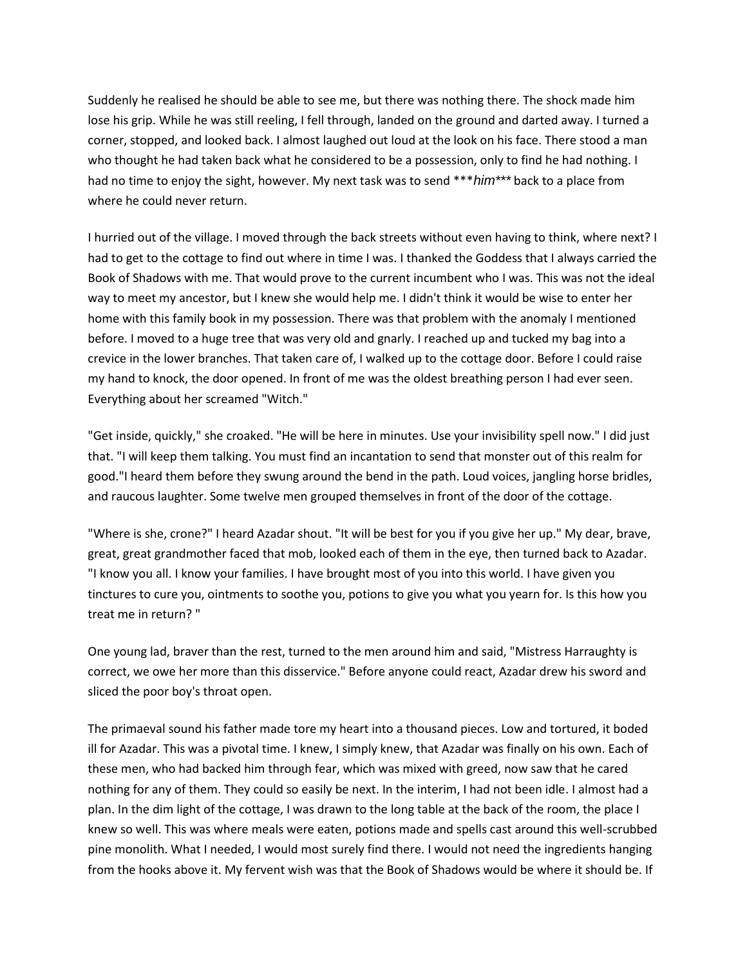Suddenly he realised he should be able to see me, but there was nothing there. The shock made him lose his grip. While he was still reeling, I fell through, landed on the ground and darted away. I turned a corner, stopped, and looked back. I almost laughed out loud at the look on his face. There stood a man who thought he had taken back what he considered to be a possession, only to find he had nothing. I had no time to enjoy the sight, however. My next task was to send \*\*\**him\*\*\** back to a place from where he could never return.

I hurried out of the village. I moved through the back streets without even having to think, where next? I had to get to the cottage to find out where in time I was. I thanked the Goddess that I always carried the Book of Shadows with me. That would prove to the current incumbent who I was. This was not the ideal way to meet my ancestor, but I knew she would help me. I didn't think it would be wise to enter her home with this family book in my possession. There was that problem with the anomaly I mentioned before. I moved to a huge tree that was very old and gnarly. I reached up and tucked my bag into a crevice in the lower branches. That taken care of, I walked up to the cottage door. Before I could raise my hand to knock, the door opened. In front of me was the oldest breathing person I had ever seen. Everything about her screamed "Witch."

"Get inside, quickly," she croaked. "He will be here in minutes. Use your invisibility spell now." I did just that. "I will keep them talking. You must find an incantation to send that monster out of this realm for good."I heard them before they swung around the bend in the path. Loud voices, jangling horse bridles, and raucous laughter. Some twelve men grouped themselves in front of the door of the cottage.

"Where is she, crone?" I heard Azadar shout. "It will be best for you if you give her up." My dear, brave, great, great grandmother faced that mob, looked each of them in the eye, then turned back to Azadar. "I know you all. I know your families. I have brought most of you into this world. I have given you tinctures to cure you, ointments to soothe you, potions to give you what you yearn for. Is this how you treat me in return? "

One young lad, braver than the rest, turned to the men around him and said, "Mistress Harraughty is correct, we owe her more than this disservice." Before anyone could react, Azadar drew his sword and sliced the poor boy's throat open.

The primaeval sound his father made tore my heart into a thousand pieces. Low and tortured, it boded ill for Azadar. This was a pivotal time. I knew, I simply knew, that Azadar was finally on his own. Each of these men, who had backed him through fear, which was mixed with greed, now saw that he cared nothing for any of them. They could so easily be next. In the interim, I had not been idle. I almost had a plan. In the dim light of the cottage, I was drawn to the long table at the back of the room, the place I knew so well. This was where meals were eaten, potions made and spells cast around this well-scrubbed pine monolith. What I needed, I would most surely find there. I would not need the ingredients hanging from the hooks above it. My fervent wish was that the Book of Shadows would be where it should be. If